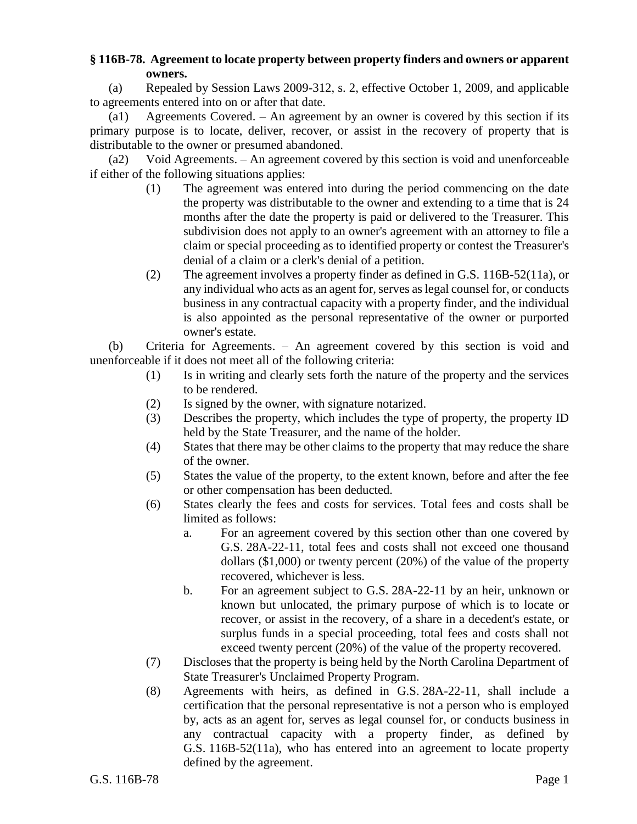## **§ 116B-78. Agreement to locate property between property finders and owners or apparent owners.**

(a) Repealed by Session Laws 2009-312, s. 2, effective October 1, 2009, and applicable to agreements entered into on or after that date.

(a1) Agreements Covered. – An agreement by an owner is covered by this section if its primary purpose is to locate, deliver, recover, or assist in the recovery of property that is distributable to the owner or presumed abandoned.

(a2) Void Agreements. – An agreement covered by this section is void and unenforceable if either of the following situations applies:

- (1) The agreement was entered into during the period commencing on the date the property was distributable to the owner and extending to a time that is 24 months after the date the property is paid or delivered to the Treasurer. This subdivision does not apply to an owner's agreement with an attorney to file a claim or special proceeding as to identified property or contest the Treasurer's denial of a claim or a clerk's denial of a petition.
- (2) The agreement involves a property finder as defined in G.S. 116B-52(11a), or any individual who acts as an agent for, serves as legal counsel for, or conducts business in any contractual capacity with a property finder, and the individual is also appointed as the personal representative of the owner or purported owner's estate.

(b) Criteria for Agreements. – An agreement covered by this section is void and unenforceable if it does not meet all of the following criteria:

- (1) Is in writing and clearly sets forth the nature of the property and the services to be rendered.
- (2) Is signed by the owner, with signature notarized.
- (3) Describes the property, which includes the type of property, the property ID held by the State Treasurer, and the name of the holder.
- (4) States that there may be other claims to the property that may reduce the share of the owner.
- (5) States the value of the property, to the extent known, before and after the fee or other compensation has been deducted.
- (6) States clearly the fees and costs for services. Total fees and costs shall be limited as follows:
	- a. For an agreement covered by this section other than one covered by G.S. 28A-22-11, total fees and costs shall not exceed one thousand dollars (\$1,000) or twenty percent (20%) of the value of the property recovered, whichever is less.
	- b. For an agreement subject to G.S. 28A-22-11 by an heir, unknown or known but unlocated, the primary purpose of which is to locate or recover, or assist in the recovery, of a share in a decedent's estate, or surplus funds in a special proceeding, total fees and costs shall not exceed twenty percent (20%) of the value of the property recovered.
- (7) Discloses that the property is being held by the North Carolina Department of State Treasurer's Unclaimed Property Program.
- (8) Agreements with heirs, as defined in G.S. 28A-22-11, shall include a certification that the personal representative is not a person who is employed by, acts as an agent for, serves as legal counsel for, or conducts business in any contractual capacity with a property finder, as defined by G.S. 116B-52(11a), who has entered into an agreement to locate property defined by the agreement.